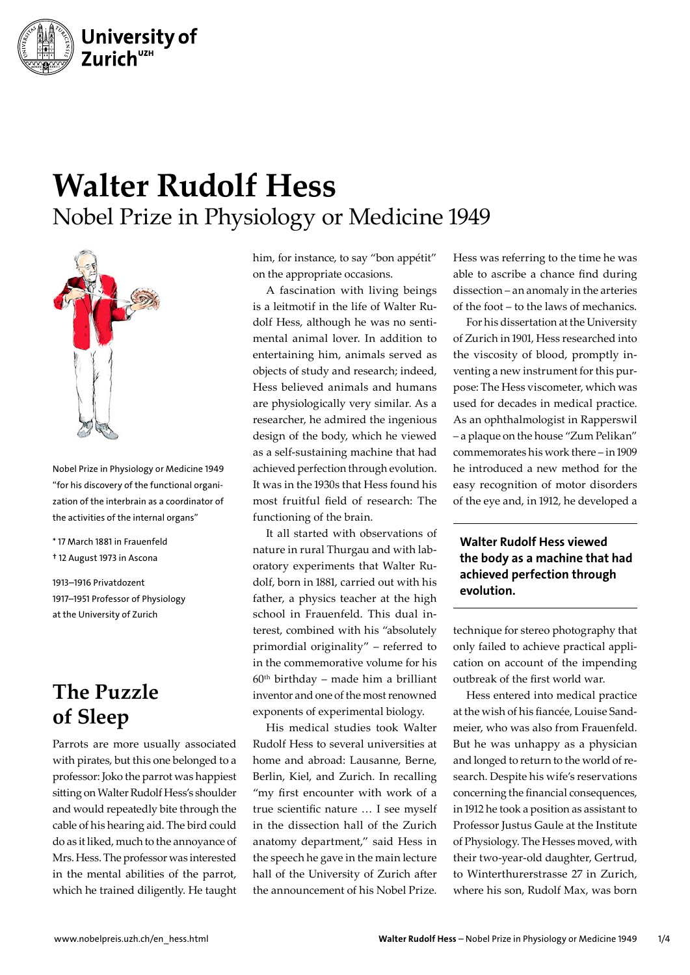

# **Walter Rudolf Hess** Nobel Prize in Physiology or Medicine 1949



Nobel Prize in Physiology or Medicine 1949 "for his discovery of the functional organization of the interbrain as a coordinator of the activities of the internal organs"

\* 17 March 1881 in Frauenfeld † 12 August 1973 in Ascona

1913–1916 Privatdozent 1917–1951 Professor of Physiology at the University of Zurich

## **The Puzzle of Sleep**

Parrots are more usually associated with pirates, but this one belonged to a professor: Joko the parrot was happiest sitting on Walter Rudolf Hess's shoulder and would repeatedly bite through the cable of his hearing aid. The bird could do as it liked, much to the annoyance of Mrs. Hess. The professor was interested in the mental abilities of the parrot, which he trained diligently. He taught

him, for instance, to say "bon appétit" on the appropriate occasions.

A fascination with living beings is a leitmotif in the life of Walter Rudolf Hess, although he was no sentimental animal lover. In addition to entertaining him, animals served as objects of study and research; indeed, Hess believed animals and humans are physiologically very similar. As a researcher, he admired the ingenious design of the body, which he viewed as a self-sustaining machine that had achieved perfection through evolution. It was in the 1930s that Hess found his most fruitful field of research: The functioning of the brain.

It all started with observations of nature in rural Thurgau and with laboratory experiments that Walter Rudolf, born in 1881, carried out with his father, a physics teacher at the high school in Frauenfeld. This dual interest, combined with his "absolutely primordial originality" – referred to in the commemorative volume for his  $60<sup>th</sup>$  birthday – made him a brilliant inventor and one of the most renowned exponents of experimental biology.

His medical studies took Walter Rudolf Hess to several universities at home and abroad: Lausanne, Berne, Berlin, Kiel, and Zurich. In recalling "my first encounter with work of a true scientific nature … I see myself in the dissection hall of the Zurich anatomy department," said Hess in the speech he gave in the main lecture hall of the University of Zurich after the announcement of his Nobel Prize.

Hess was referring to the time he was able to ascribe a chance find during dissection – an anomaly in the arteries of the foot – to the laws of mechanics.

For his dissertation at the University of Zurich in 1901, Hess researched into the viscosity of blood, promptly inventing a new instrument for this purpose: The Hess viscometer, which was used for decades in medical practice. As an ophthalmologist in Rapperswil – a plaque on the house "Zum Pelikan" commemorates his work there – in 1909 he introduced a new method for the easy recognition of motor disorders of the eye and, in 1912, he developed a

#### Walter Rudolf Hess viewed the body as a machine that had achieved perfection through evolution.

technique for stereo photography that only failed to achieve practical application on account of the impending outbreak of the first world war.

Hess entered into medical practice at the wish of his fiancée, Louise Sandmeier, who was also from Frauenfeld. But he was unhappy as a physician and longed to return to the world of research. Despite his wife's reservations concerning the financial consequences, in 1912 he took a position as assistant to Professor Justus Gaule at the Institute of Physiology. The Hesses moved, with their two-year-old daughter, Gertrud, to Winterthurerstrasse 27 in Zurich, where his son, Rudolf Max, was born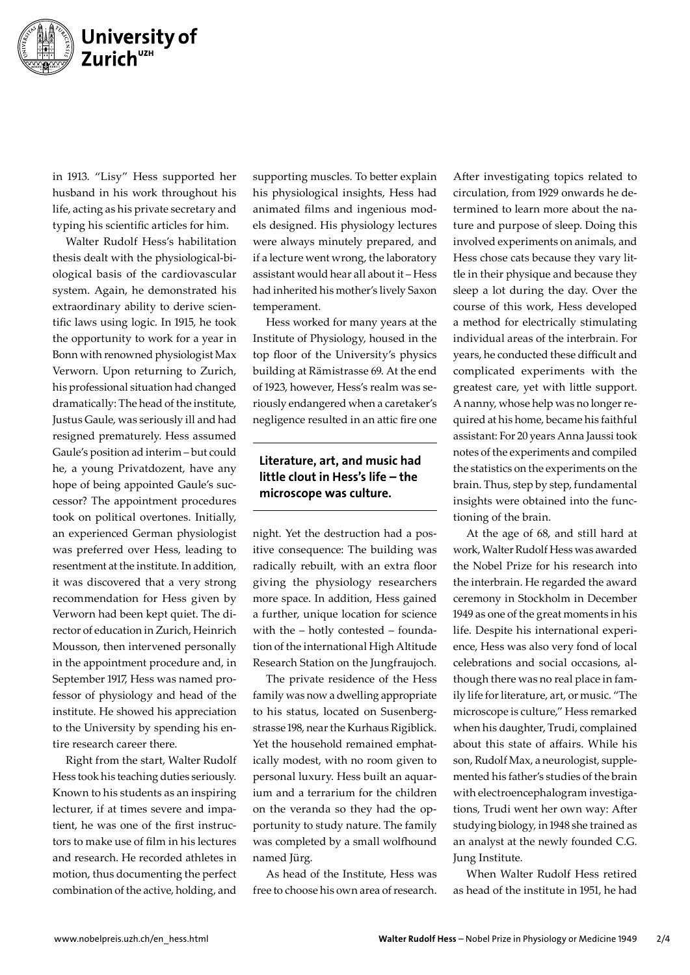

in 1913. "Lisy" Hess supported her husband in his work throughout his life, acting as his private secretary and typing his scientific articles for him.

Walter Rudolf Hess's habilitation thesis dealt with the physiological-biological basis of the cardiovascular system. Again, he demonstrated his extraordinary ability to derive scientific laws using logic. In 1915, he took the opportunity to work for a year in Bonn with renowned physiologist Max Verworn. Upon returning to Zurich, his professional situation had changed dramatically: The head of the institute, Justus Gaule, was seriously ill and had resigned prematurely. Hess assumed Gaule's position ad interim – but could he, a young Privatdozent, have any hope of being appointed Gaule's successor? The appointment procedures took on political overtones. Initially, an experienced German physiologist was preferred over Hess, leading to resentment at the institute. In addition, it was discovered that a very strong recommendation for Hess given by Verworn had been kept quiet. The director of education in Zurich, Heinrich Mousson, then intervened personally in the appointment procedure and, in September 1917, Hess was named professor of physiology and head of the institute. He showed his appreciation to the University by spending his entire research career there.

Right from the start, Walter Rudolf Hess took his teaching duties seriously. Known to his students as an inspiring lecturer, if at times severe and impatient, he was one of the first instructors to make use of film in his lectures and research. He recorded athletes in motion, thus documenting the perfect combination of the active, holding, and

supporting muscles. To better explain his physiological insights, Hess had animated films and ingenious models designed. His physiology lectures were always minutely prepared, and if a lecture went wrong, the laboratory assistant would hear all about it – Hess had inherited his mother's lively Saxon temperament.

Hess worked for many years at the Institute of Physiology, housed in the top floor of the University's physics building at Rämistrasse 69. At the end of 1923, however, Hess's realm was seriously endangered when a caretaker's negligence resulted in an attic fire one

#### Literature, art, and music had little clout in Hess's life – the microscope was culture.

night. Yet the destruction had a positive consequence: The building was radically rebuilt, with an extra floor giving the physiology researchers more space. In addition, Hess gained a further, unique location for science with the – hotly contested – foundation of the international High Altitude Research Station on the Jungfraujoch.

The private residence of the Hess family was now a dwelling appropriate to his status, located on Susenbergstrasse 198, near the Kurhaus Rigiblick. Yet the household remained emphatically modest, with no room given to personal luxury. Hess built an aquarium and a terrarium for the children on the veranda so they had the opportunity to study nature. The family was completed by a small wolfhound named Jürg.

As head of the Institute, Hess was free to choose his own area of research.

After investigating topics related to circulation, from 1929 onwards he determined to learn more about the nature and purpose of sleep. Doing this involved experiments on animals, and Hess chose cats because they vary little in their physique and because they sleep a lot during the day. Over the course of this work, Hess developed a method for electrically stimulating individual areas of the interbrain. For years, he conducted these difficult and complicated experiments with the greatest care, yet with little support. A nanny, whose help was no longer required at his home, became his faithful assistant: For 20 years Anna Jaussi took notes of the experiments and compiled the statistics on the experiments on the brain. Thus, step by step, fundamental insights were obtained into the functioning of the brain.

At the age of 68, and still hard at work, Walter Rudolf Hess was awarded the Nobel Prize for his research into the interbrain. He regarded the award ceremony in Stockholm in December 1949 as one of the great moments in his life. Despite his international experience, Hess was also very fond of local celebrations and social occasions, although there was no real place in family life for literature, art, or music. "The microscope is culture," Hess remarked when his daughter, Trudi, complained about this state of affairs. While his son, Rudolf Max, a neurologist, supplemented his father's studies of the brain with electroencephalogram investigations, Trudi went her own way: After studying biology, in 1948 she trained as an analyst at the newly founded C.G. Jung Institute.

When Walter Rudolf Hess retired as head of the institute in 1951, he had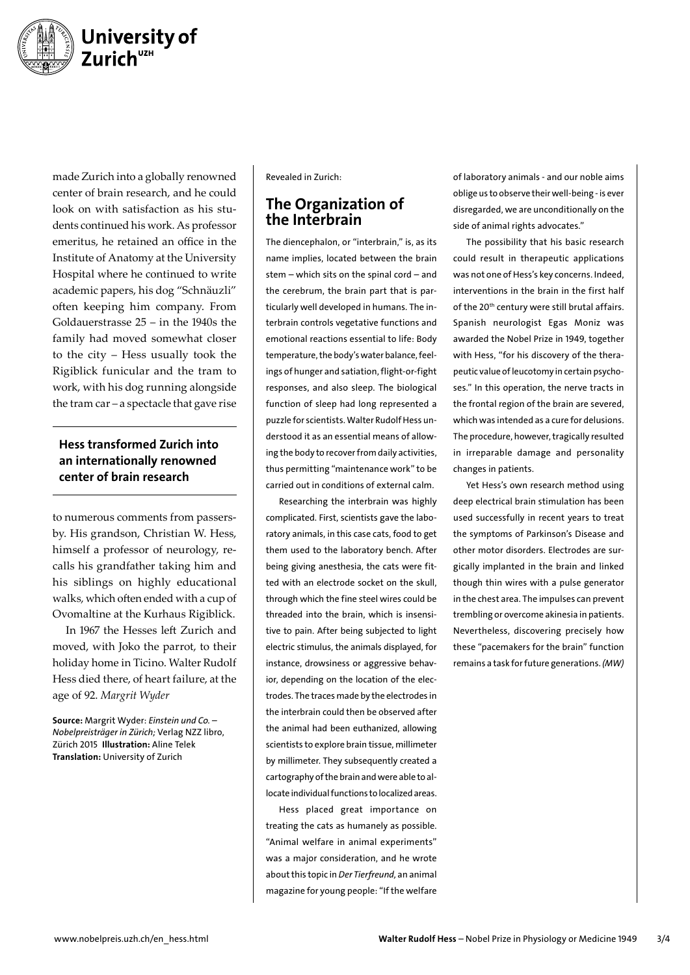

made Zurich into a globally renowned center of brain research, and he could look on with satisfaction as his students continued his work. As professor emeritus, he retained an office in the Institute of Anatomy at the University Hospital where he continued to write academic papers, his dog "Schnäuzli" often keeping him company. From Goldauerstrasse 25 – in the 1940s the family had moved somewhat closer to the city – Hess usually took the Rigiblick funicular and the tram to work, with his dog running alongside the tram car – a spectacle that gave rise

#### Hess transformed Zurich into an internationally renowned center of brain research

to numerous comments from passersby. His grandson, Christian W. Hess, himself a professor of neurology, recalls his grandfather taking him and his siblings on highly educational walks, which often ended with a cup of Ovomaltine at the Kurhaus Rigiblick.

In 1967 the Hesses left Zurich and moved, with Joko the parrot, to their holiday home in Ticino. Walter Rudolf Hess died there, of heart failure, at the age of 92. *Margrit Wyder*

Source: Margrit Wyder: *Einstein und Co. – Nobelpreisträger in Zürich;* Verlag NZZ libro, Zürich 2015 Illustration: Aline Telek Translation: University of Zurich

Revealed in Zurich:

### The Organization of the Interbrain

The diencephalon, or "interbrain," is, as its name implies, located between the brain stem – which sits on the spinal cord – and the cerebrum, the brain part that is particularly well developed in humans. The interbrain controls vegetative functions and emotional reactions essential to life: Body temperature, the body's water balance, feelings of hunger and satiation, flight-or-fight responses, and also sleep. The biological function of sleep had long represented a puzzle for scientists. Walter Rudolf Hess understood it as an essential means of allowing the body to recover from daily activities, thus permitting "maintenance work" to be carried out in conditions of external calm.

Researching the interbrain was highly complicated. First, scientists gave the laboratory animals, in this case cats, food to get them used to the laboratory bench. After being giving anesthesia, the cats were fitted with an electrode socket on the skull, through which the fine steel wires could be threaded into the brain, which is insensitive to pain. After being subjected to light electric stimulus, the animals displayed, for instance, drowsiness or aggressive behavior, depending on the location of the electrodes. The traces made by the electrodes in the interbrain could then be observed after the animal had been euthanized, allowing scientists to explore brain tissue, millimeter by millimeter. They subsequently created a cartography of the brain and were able to allocate individual functions to localized areas.

Hess placed great importance on treating the cats as humanely as possible. "Animal welfare in animal experiments" was a major consideration, and he wrote about this topic in *Der Tierfreund,* an animal magazine for young people: "If the welfare

of laboratory animals - and our noble aims oblige us to observe their well-being - is ever disregarded, we are unconditionally on the side of animal rights advocates."

The possibility that his basic research could result in therapeutic applications was not one of Hess's key concerns. Indeed, interventions in the brain in the first half of the 20<sup>th</sup> century were still brutal affairs. Spanish neurologist Egas Moniz was awarded the Nobel Prize in 1949, together with Hess, "for his discovery of the therapeutic value of leucotomy in certain psychoses." In this operation, the nerve tracts in the frontal region of the brain are severed, which was intended as a cure for delusions. The procedure, however, tragically resulted in irreparable damage and personality changes in patients.

Yet Hess's own research method using deep electrical brain stimulation has been used successfully in recent years to treat the symptoms of Parkinson's Disease and other motor disorders. Electrodes are surgically implanted in the brain and linked though thin wires with a pulse generator in the chest area. The impulses can prevent trembling or overcome akinesia in patients. Nevertheless, discovering precisely how these "pacemakers for the brain" function remains a task for future generations. *(MW)*